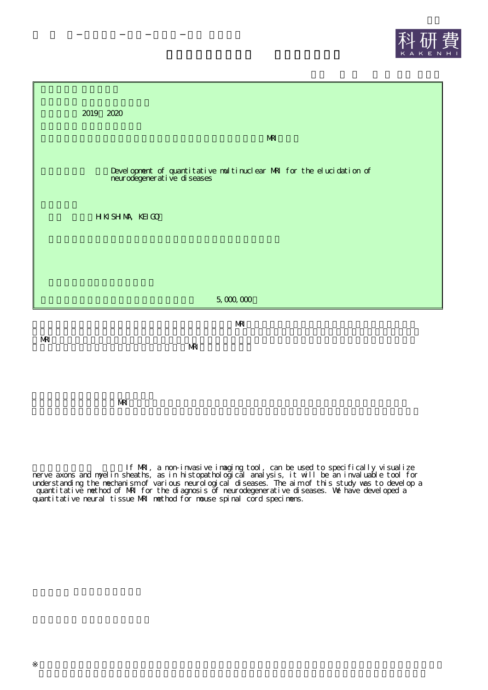



MRI

MRI

**NRI** 

If MRI, a non-invasive imaging tool, can be used to specifically visualize nerve axons and myelin sheaths, as in histopathological analysis, it will be an invaluable tool for understanding the mechanism of various neurological diseases. The aim of this study was to develop a quantitative method of MRI for the diagnosis of neurodegenerative diseases. We have developed a quantitative neural tissue MRI method for mouse spinal cord specimens.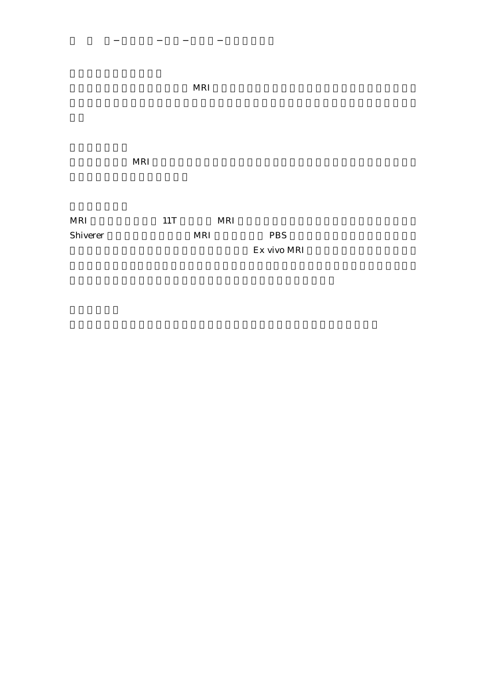MRI

MRI 11T MRI Shiverer MRI PBS

Ex vivo MRI

MRI